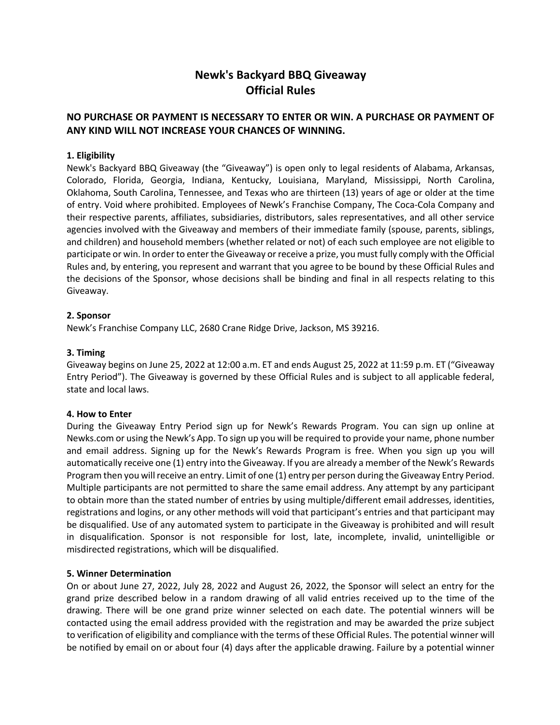# **Newk's Backyard BBQ Giveaway Official Rules**

# **NO PURCHASE OR PAYMENT IS NECESSARY TO ENTER OR WIN. A PURCHASE OR PAYMENT OF ANY KIND WILL NOT INCREASE YOUR CHANCES OF WINNING.**

## **1. Eligibility**

Newk's Backyard BBQ Giveaway (the "Giveaway") is open only to legal residents of Alabama, Arkansas, Colorado, Florida, Georgia, Indiana, Kentucky, Louisiana, Maryland, Mississippi, North Carolina, Oklahoma, South Carolina, Tennessee, and Texas who are thirteen (13) years of age or older at the time of entry. Void where prohibited. Employees of Newk's Franchise Company, The Coca-Cola Company and their respective parents, affiliates, subsidiaries, distributors, sales representatives, and all other service agencies involved with the Giveaway and members of their immediate family (spouse, parents, siblings, and children) and household members (whether related or not) of each such employee are not eligible to participate or win. In order to enter the Giveaway or receive a prize, you must fully comply with the Official Rules and, by entering, you represent and warrant that you agree to be bound by these Official Rules and the decisions of the Sponsor, whose decisions shall be binding and final in all respects relating to this Giveaway.

## **2. Sponsor**

Newk's Franchise Company LLC, 2680 Crane Ridge Drive, Jackson, MS 39216.

#### **3. Timing**

Giveaway begins on June 25, 2022 at 12:00 a.m. ET and ends August 25, 2022 at 11:59 p.m. ET ("Giveaway Entry Period"). The Giveaway is governed by these Official Rules and is subject to all applicable federal, state and local laws.

#### **4. How to Enter**

During the Giveaway Entry Period sign up for Newk's Rewards Program. You can sign up online at Newks.com or using the Newk's App. To sign up you will be required to provide your name, phone number and email address. Signing up for the Newk's Rewards Program is free. When you sign up you will automatically receive one (1) entry into the Giveaway. If you are already a member of the Newk's Rewards Program then you will receive an entry. Limit of one (1) entry per person during the Giveaway Entry Period. Multiple participants are not permitted to share the same email address. Any attempt by any participant to obtain more than the stated number of entries by using multiple/different email addresses, identities, registrations and logins, or any other methods will void that participant's entries and that participant may be disqualified. Use of any automated system to participate in the Giveaway is prohibited and will result in disqualification. Sponsor is not responsible for lost, late, incomplete, invalid, unintelligible or misdirected registrations, which will be disqualified.

## **5. Winner Determination**

On or about June 27, 2022, July 28, 2022 and August 26, 2022, the Sponsor will select an entry for the grand prize described below in a random drawing of all valid entries received up to the time of the drawing. There will be one grand prize winner selected on each date. The potential winners will be contacted using the email address provided with the registration and may be awarded the prize subject to verification of eligibility and compliance with the terms of these Official Rules. The potential winner will be notified by email on or about four (4) days after the applicable drawing. Failure by a potential winner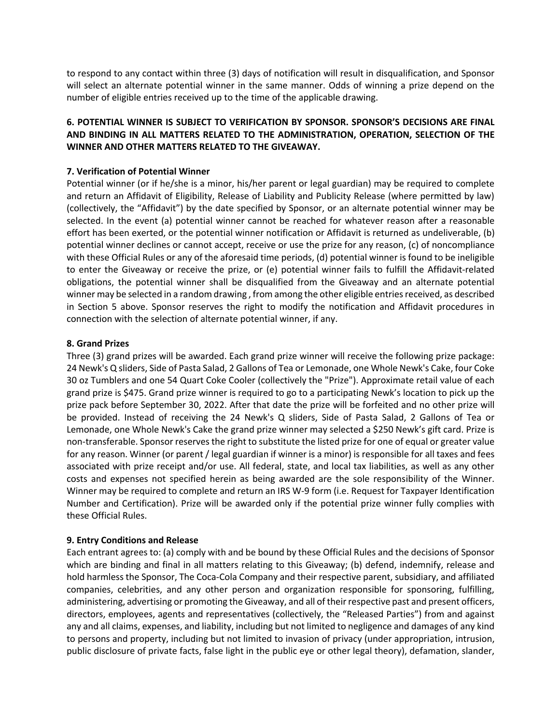to respond to any contact within three (3) days of notification will result in disqualification, and Sponsor will select an alternate potential winner in the same manner. Odds of winning a prize depend on the number of eligible entries received up to the time of the applicable drawing.

## **6. POTENTIAL WINNER IS SUBJECT TO VERIFICATION BY SPONSOR. SPONSOR'S DECISIONS ARE FINAL AND BINDING IN ALL MATTERS RELATED TO THE ADMINISTRATION, OPERATION, SELECTION OF THE WINNER AND OTHER MATTERS RELATED TO THE GIVEAWAY.**

### **7. Verification of Potential Winner**

Potential winner (or if he/she is a minor, his/her parent or legal guardian) may be required to complete and return an Affidavit of Eligibility, Release of Liability and Publicity Release (where permitted by law) (collectively, the "Affidavit") by the date specified by Sponsor, or an alternate potential winner may be selected. In the event (a) potential winner cannot be reached for whatever reason after a reasonable effort has been exerted, or the potential winner notification or Affidavit is returned as undeliverable, (b) potential winner declines or cannot accept, receive or use the prize for any reason, (c) of noncompliance with these Official Rules or any of the aforesaid time periods, (d) potential winner is found to be ineligible to enter the Giveaway or receive the prize, or (e) potential winner fails to fulfill the Affidavit-related obligations, the potential winner shall be disqualified from the Giveaway and an alternate potential winner may be selected in a random drawing , from among the other eligible entries received, as described in Section 5 above. Sponsor reserves the right to modify the notification and Affidavit procedures in connection with the selection of alternate potential winner, if any.

#### **8. Grand Prizes**

Three (3) grand prizes will be awarded. Each grand prize winner will receive the following prize package: 24 Newk's Q sliders, Side of Pasta Salad, 2 Gallons of Tea or Lemonade, one Whole Newk's Cake, four Coke 30 oz Tumblers and one 54 Quart Coke Cooler (collectively the "Prize"). Approximate retail value of each grand prize is \$475. Grand prize winner is required to go to a participating Newk's location to pick up the prize pack before September 30, 2022. After that date the prize will be forfeited and no other prize will be provided. Instead of receiving the 24 Newk's Q sliders, Side of Pasta Salad, 2 Gallons of Tea or Lemonade, one Whole Newk's Cake the grand prize winner may selected a \$250 Newk's gift card. Prize is non-transferable. Sponsor reserves the right to substitute the listed prize for one of equal or greater value for any reason. Winner (or parent / legal guardian if winner is a minor) is responsible for all taxes and fees associated with prize receipt and/or use. All federal, state, and local tax liabilities, as well as any other costs and expenses not specified herein as being awarded are the sole responsibility of the Winner. Winner may be required to complete and return an IRS W-9 form (i.e. Request for Taxpayer Identification Number and Certification). Prize will be awarded only if the potential prize winner fully complies with these Official Rules.

## **9. Entry Conditions and Release**

Each entrant agrees to: (a) comply with and be bound by these Official Rules and the decisions of Sponsor which are binding and final in all matters relating to this Giveaway; (b) defend, indemnify, release and hold harmless the Sponsor, The Coca-Cola Company and their respective parent, subsidiary, and affiliated companies, celebrities, and any other person and organization responsible for sponsoring, fulfilling, administering, advertising or promoting the Giveaway, and all of their respective past and present officers, directors, employees, agents and representatives (collectively, the "Released Parties") from and against any and all claims, expenses, and liability, including but not limited to negligence and damages of any kind to persons and property, including but not limited to invasion of privacy (under appropriation, intrusion, public disclosure of private facts, false light in the public eye or other legal theory), defamation, slander,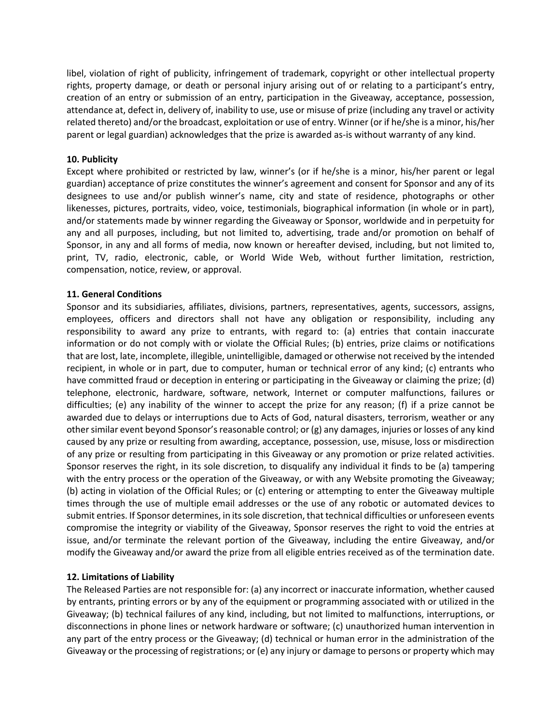libel, violation of right of publicity, infringement of trademark, copyright or other intellectual property rights, property damage, or death or personal injury arising out of or relating to a participant's entry, creation of an entry or submission of an entry, participation in the Giveaway, acceptance, possession, attendance at, defect in, delivery of, inability to use, use or misuse of prize (including any travel or activity related thereto) and/or the broadcast, exploitation or use of entry. Winner (or if he/she is a minor, his/her parent or legal guardian) acknowledges that the prize is awarded as-is without warranty of any kind.

#### **10. Publicity**

Except where prohibited or restricted by law, winner's (or if he/she is a minor, his/her parent or legal guardian) acceptance of prize constitutes the winner's agreement and consent for Sponsor and any of its designees to use and/or publish winner's name, city and state of residence, photographs or other likenesses, pictures, portraits, video, voice, testimonials, biographical information (in whole or in part), and/or statements made by winner regarding the Giveaway or Sponsor, worldwide and in perpetuity for any and all purposes, including, but not limited to, advertising, trade and/or promotion on behalf of Sponsor, in any and all forms of media, now known or hereafter devised, including, but not limited to, print, TV, radio, electronic, cable, or World Wide Web, without further limitation, restriction, compensation, notice, review, or approval.

#### **11. General Conditions**

Sponsor and its subsidiaries, affiliates, divisions, partners, representatives, agents, successors, assigns, employees, officers and directors shall not have any obligation or responsibility, including any responsibility to award any prize to entrants, with regard to: (a) entries that contain inaccurate information or do not comply with or violate the Official Rules; (b) entries, prize claims or notifications that are lost, late, incomplete, illegible, unintelligible, damaged or otherwise not received by the intended recipient, in whole or in part, due to computer, human or technical error of any kind; (c) entrants who have committed fraud or deception in entering or participating in the Giveaway or claiming the prize; (d) telephone, electronic, hardware, software, network, Internet or computer malfunctions, failures or difficulties; (e) any inability of the winner to accept the prize for any reason; (f) if a prize cannot be awarded due to delays or interruptions due to Acts of God, natural disasters, terrorism, weather or any other similar event beyond Sponsor's reasonable control; or (g) any damages, injuries or losses of any kind caused by any prize or resulting from awarding, acceptance, possession, use, misuse, loss or misdirection of any prize or resulting from participating in this Giveaway or any promotion or prize related activities. Sponsor reserves the right, in its sole discretion, to disqualify any individual it finds to be (a) tampering with the entry process or the operation of the Giveaway, or with any Website promoting the Giveaway; (b) acting in violation of the Official Rules; or (c) entering or attempting to enter the Giveaway multiple times through the use of multiple email addresses or the use of any robotic or automated devices to submit entries. If Sponsor determines, in its sole discretion, that technical difficulties or unforeseen events compromise the integrity or viability of the Giveaway, Sponsor reserves the right to void the entries at issue, and/or terminate the relevant portion of the Giveaway, including the entire Giveaway, and/or modify the Giveaway and/or award the prize from all eligible entries received as of the termination date.

## **12. Limitations of Liability**

The Released Parties are not responsible for: (a) any incorrect or inaccurate information, whether caused by entrants, printing errors or by any of the equipment or programming associated with or utilized in the Giveaway; (b) technical failures of any kind, including, but not limited to malfunctions, interruptions, or disconnections in phone lines or network hardware or software; (c) unauthorized human intervention in any part of the entry process or the Giveaway; (d) technical or human error in the administration of the Giveaway or the processing of registrations; or (e) any injury or damage to persons or property which may